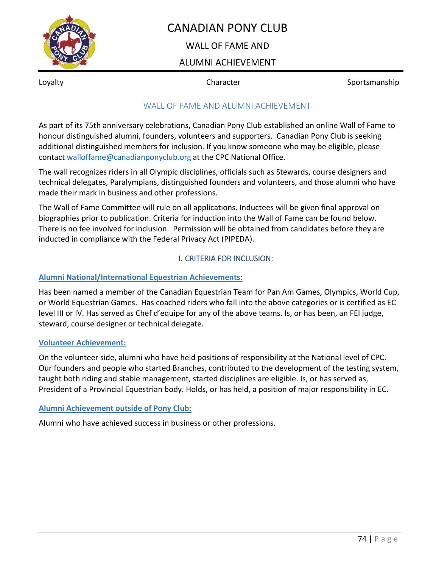

# CANADIAN PONY CLUB

## WAIL OF FAME AND

# ALUMNI ACHIEVEMENT

Loyalty **Sportsmanship** Character **Sportsmanship** 

# WALL OF FAME AND ALUMNI ACHIEVEMENT

As part of its 75th anniversary celebrations, Canadian Pony Club established an online Wall of Fame to honour distinguished alumni, founders, volunteers and supporters. Canadian Pony Club is seeking additional distinguished members for inclusion. If you know someone who may be eligible, please contact walloffame@canadianponyclub.org at the CPC National Office.

The wall recognizes riders in all Olympic disciplines, officials such as Stewards, course designers and technical delegates, Paralympians, distinguished founders and volunteers, and those alumni who have made their mark in business and other professions.

The Wall of Fame Committee will rule on all applications. Inductees will be given final approval on biographies prior to publication. Criteria for induction into the Wall of Fame can be found below. There is no fee involved for inclusion. Permission will be obtained from candidates before they are inducted in compliance with the Federal Privacy Act (PIPEDA).

## I. CRITERIA FOR INCLUSION:

### **Alumni National/International Equestrian Achievements:**

Has been named a member of the Canadian Equestrian Team for Pan Am Games, Olympics, World Cup, or World Equestrian Games. Has coached riders who fall into the above categories or is certified as EC level III or IV. Has served as Chef d'equipe for any of the above teams. Is, or has been, an FEI judge, steward, course designer or technical delegate.

#### **Volunteer Achievement:**

On the volunteer side, alumni who have held positions of responsibility at the National level of CPC. Our founders and people who started Branches, contributed to the development of the testing system, taught both riding and stable management, started disciplines are eligible. Is, or has served as, President of a Provincial Equestrian body. Holds, or has held, a position of major responsibility in EC.

### **Alumni Achievement outside of Pony Club:**

Alumni who have achieved success in business or other professions.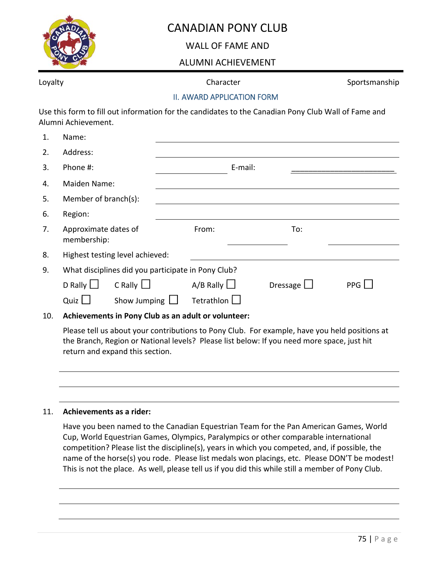

# CANADIAN PONY CLUB

WALL OF FAME AND

# ALUMNI ACHIEVEMENT

Loyalty **Sportsmanship** Character **Sportsmanship** 

#### II. AWARD APPLICATION FORM

Use this form to fill out information for the candidates to the Canadian Pony Club Wall of Fame and Alumni Achievement.

| 1.  | Name:                                                |                     |                    |                 |     |
|-----|------------------------------------------------------|---------------------|--------------------|-----------------|-----|
| 2.  | Address:                                             |                     |                    |                 |     |
| 3.  | Phone #:                                             |                     | E-mail:            |                 |     |
| 4.  | Maiden Name:                                         |                     |                    |                 |     |
| 5.  | Member of branch(s):                                 |                     |                    |                 |     |
| 6.  | Region:                                              |                     |                    |                 |     |
| 7.  | Approximate dates of<br>membership:                  |                     | From:              | To:             |     |
| 8.  | Highest testing level achieved:                      |                     |                    |                 |     |
| 9.  | What disciplines did you participate in Pony Club?   |                     |                    |                 |     |
|     | D Rally $\Box$                                       | $C$ Rally $\Box$    | $A/B$ Rally $\Box$ | Dressage $\Box$ | PPG |
|     | Quiz $\Box$                                          | Show Jumping $\Box$ | Tetrathlon U       |                 |     |
| 1 O | A akiawanganta in Damu Club ng ang adult anyaluntaan |                     |                    |                 |     |

10. **Achievements in Pony Club as an adult or volunteer:** 

Please tell us about your contributions to Pony Club. For example, have you held positions at the Branch, Region or National levels? Please list below: If you need more space, just hit return and expand this section.

#### 11. **Achievements as a rider:**

Have you been named to the Canadian Equestrian Team for the Pan American Games, World Cup, World Equestrian Games, Olympics, Paralympics or other comparable international competition? Please list the discipline(s), years in which you competed, and, if possible, the name of the horse(s) you rode. Please list medals won placings, etc. Please DON'T be modest! This is not the place. As well, please tell us if you did this while still a member of Pony Club.